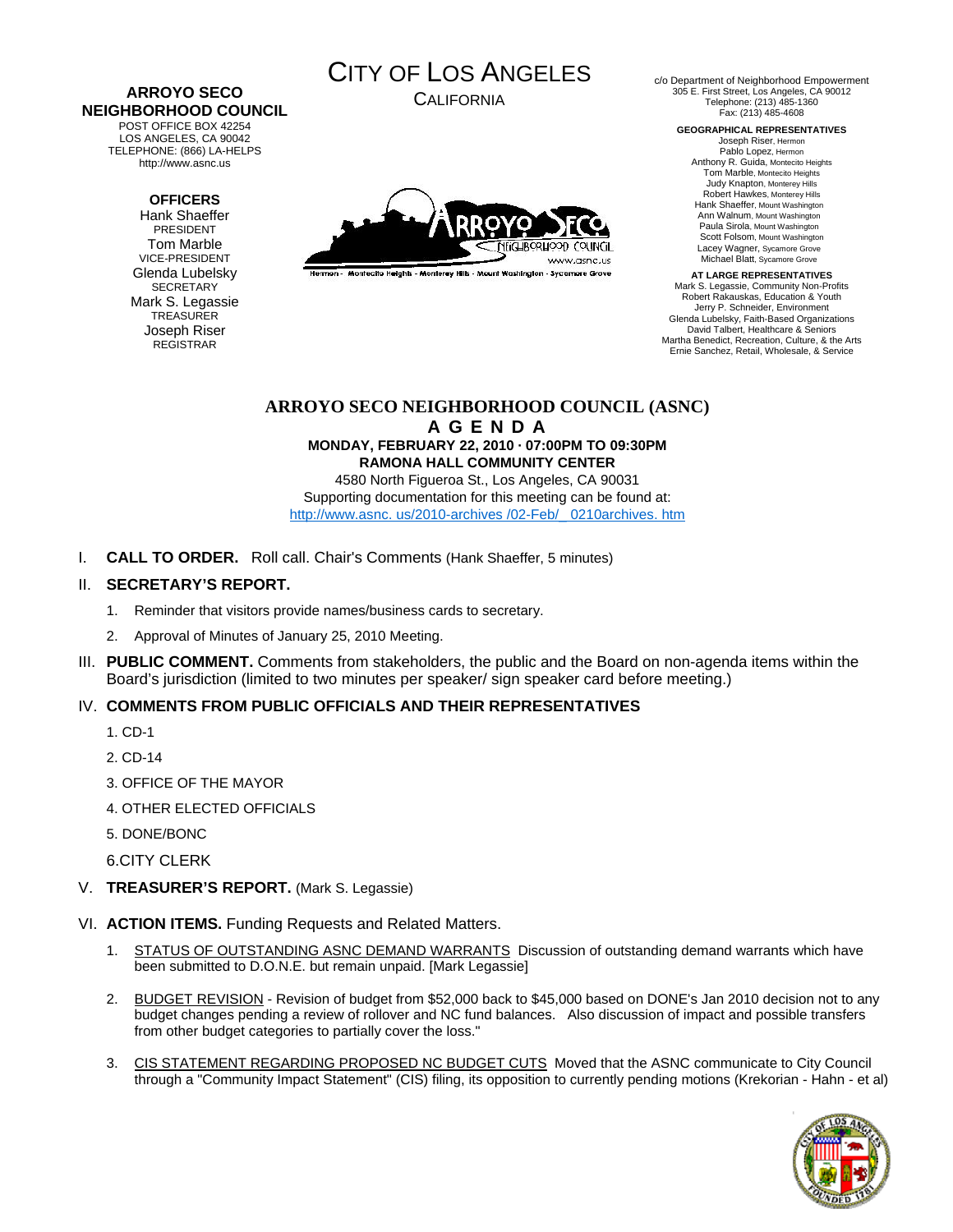#### **ARROYO SECO NEIGHBORHOOD COUNCIL**  POST OFFICE BOX 42254

LOS ANGELES, CA 90042 TELEPHONE: (866) LA-HELPS http://www.asnc.us

# **OFFICERS**

Hank Shaeffer PRESIDENT Tom Marble VICE-PRESIDENT Glenda Lubelsky SECRETARY Mark S. Legassie **TREASURER** Joseph Riser REGISTRAR



CALIFORNIA



.<br>Hermon - Montecito Helahis - Monterey Hills - Mount Washington - Sycamore Grove

c/o Department of Neighborhood Empowerment 305 E. First Street, Los Angeles, CA 90012 Telephone: (213) 485-1360 Fax: (213) 485-4608

> **GEOGRAPHICAL REPRESENTATIVES**  Joseph Riser, Hermon

Pablo Lopez, Hermon Anthony R. Guida, Montecito Heights Tom Marble, Montecito Heights Judy Knapton, Monterey Hills Robert Hawkes, Monterey Hills Hank Shaeffer, Mount Washington Ann Walnum, Mount Washington Paula Sirola, Mount Washington Scott Folsom, Mount Washington Lacey Wagner, Sycamore Grove Michael Blatt, Sycamore Grove

**AT LARGE REPRESENTATIVES**  Mark S. Legassie, Community Non-Profits Robert Rakauskas, Education & Youth Jerry P. Schneider, Environment Glenda Lubelsky, Faith-Based Organizations David Talbert, Healthcare & Seniors Martha Benedict, Recreation, Culture, & the Arts Ernie Sanchez, Retail, Wholesale, & Service

#### **ARROYO SECO NEIGHBORHOOD COUNCIL (ASNC) A G E N D A MONDAY, FEBRUARY 22, 2010 · 07:00PM TO 09:30PM RAMONA HALL COMMUNITY CENTER**

4580 North Figueroa St., Los Angeles, CA 90031 Supporting documentation for this meeting can be found at: [http://www.asnc. us/2010-archives /02-Feb/\\_ 0210archives. htm](http://www.asnc.us/2010-archives/02-Feb/_0210archives.htm)

I. **CALL TO ORDER.** Roll call. Chair's Comments (Hank Shaeffer, 5 minutes)

# II. **SECRETARY'S REPORT.**

- 1. Reminder that visitors provide names/business cards to secretary.
- 2. Approval of Minutes of January 25, 2010 Meeting.
- III. **PUBLIC COMMENT.** Comments from stakeholders, the public and the Board on non-agenda items within the Board's jurisdiction (limited to two minutes per speaker/ sign speaker card before meeting.)

# IV. **COMMENTS FROM PUBLIC OFFICIALS AND THEIR REPRESENTATIVES**

- 1. CD-1
- 2. CD-14
- 3. OFFICE OF THE MAYOR
- 4. OTHER ELECTED OFFICIALS
- 5. DONE/BONC

6.CITY CLERK

- V. **TREASURER'S REPORT.** (Mark S. Legassie)
- VI. **ACTION ITEMS.** Funding Requests and Related Matters.
	- 1. STATUS OF OUTSTANDING ASNC DEMAND WARRANTS Discussion of outstanding demand warrants which have been submitted to D.O.N.E. but remain unpaid. [Mark Legassie]
	- 2. BUDGET REVISION Revision of budget from \$52,000 back to \$45,000 based on DONE's Jan 2010 decision not to any budget changes pending a review of rollover and NC fund balances. Also discussion of impact and possible transfers from other budget categories to partially cover the loss."
	- 3. CIS STATEMENT REGARDING PROPOSED NC BUDGET CUTS Moved that the ASNC communicate to City Council through a "Community Impact Statement" (CIS) filing, its opposition to currently pending motions (Krekorian - Hahn - et al)

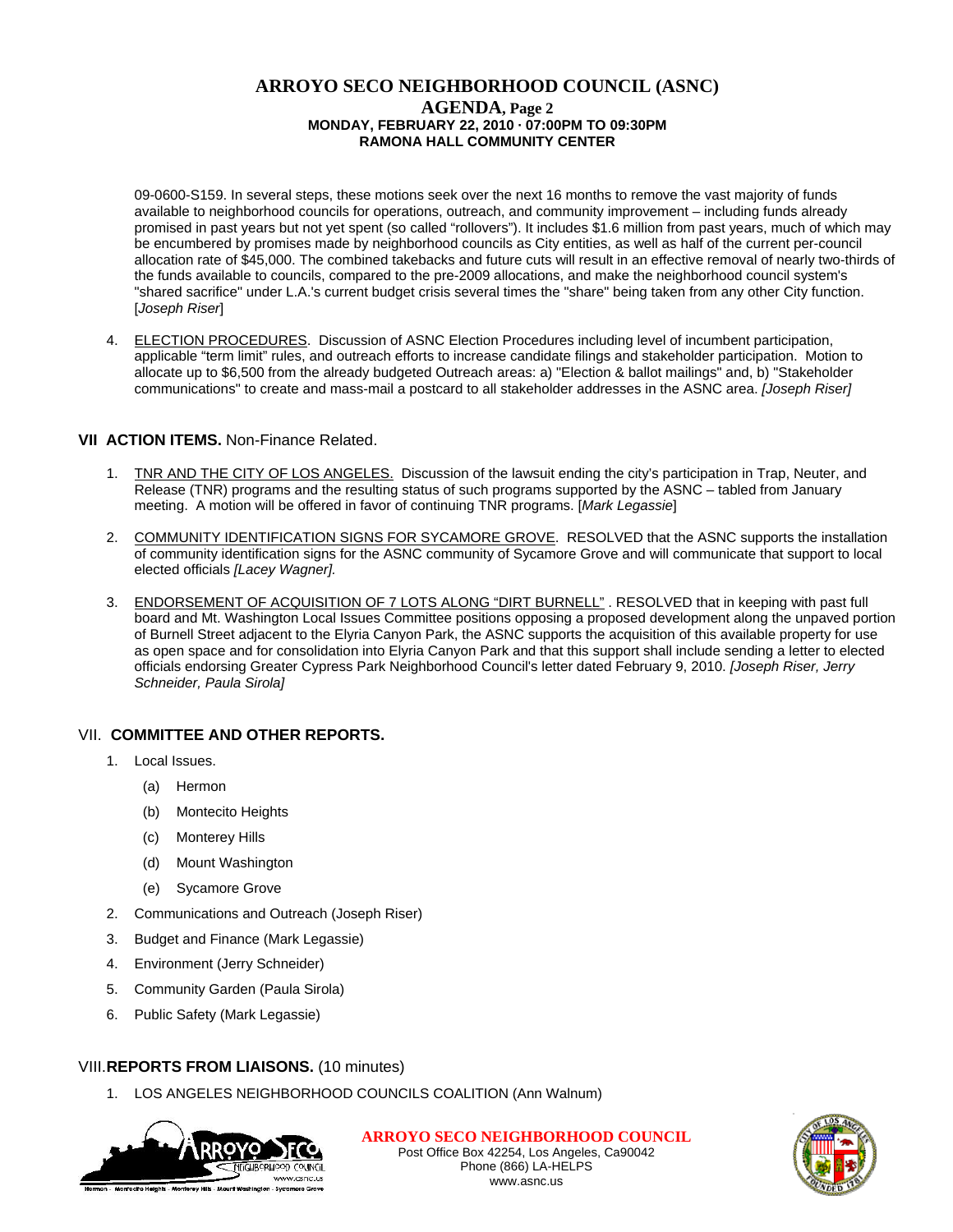# **ARROYO SECO NEIGHBORHOOD COUNCIL (ASNC) AGENDA, Page 2 MONDAY, FEBRUARY 22, 2010 · 07:00PM TO 09:30PM RAMONA HALL COMMUNITY CENTER**

09-0600-S159. In several steps, these motions seek over the next 16 months to remove the vast majority of funds available to neighborhood councils for operations, outreach, and community improvement – including funds already promised in past years but not yet spent (so called "rollovers"). It includes \$1.6 million from past years, much of which may be encumbered by promises made by neighborhood councils as City entities, as well as half of the current per-council allocation rate of \$45,000. The combined takebacks and future cuts will result in an effective removal of nearly two-thirds of the funds available to councils, compared to the pre-2009 allocations, and make the neighborhood council system's "shared sacrifice" under L.A.'s current budget crisis several times the "share" being taken from any other City function. [*Joseph Riser*]

4. ELECTION PROCEDURES. Discussion of ASNC Election Procedures including level of incumbent participation, applicable "term limit" rules, and outreach efforts to increase candidate filings and stakeholder participation. Motion to allocate up to \$6,500 from the already budgeted Outreach areas: a) "Election & ballot mailings" and, b) "Stakeholder communications" to create and mass-mail a postcard to all stakeholder addresses in the ASNC area. *[Joseph Riser]*

# **VII ACTION ITEMS.** Non-Finance Related.

- 1. TNR AND THE CITY OF LOS ANGELES. Discussion of the lawsuit ending the city's participation in Trap, Neuter, and Release (TNR) programs and the resulting status of such programs supported by the ASNC – tabled from January meeting. A motion will be offered in favor of continuing TNR programs. [*Mark Legassie*]
- 2. COMMUNITY IDENTIFICATION SIGNS FOR SYCAMORE GROVE. RESOLVED that the ASNC supports the installation of community identification signs for the ASNC community of Sycamore Grove and will communicate that support to local elected officials *[Lacey Wagner].*
- 3. ENDORSEMENT OF ACQUISITION OF 7 LOTS ALONG "DIRT BURNELL". RESOLVED that in keeping with past full board and Mt. Washington Local Issues Committee positions opposing a proposed development along the unpaved portion of Burnell Street adjacent to the Elyria Canyon Park, the ASNC supports the acquisition of this available property for use as open space and for consolidation into Elyria Canyon Park and that this support shall include sending a letter to elected officials endorsing Greater Cypress Park Neighborhood Council's letter dated February 9, 2010. *[Joseph Riser, Jerry Schneider, Paula Sirola]*

# VII. **COMMITTEE AND OTHER REPORTS.**

- 1. Local Issues.
	- (a) Hermon
	- (b) Montecito Heights
	- (c) Monterey Hills
	- (d) Mount Washington
	- (e) Sycamore Grove
- 2. Communications and Outreach (Joseph Riser)
- 3. Budget and Finance (Mark Legassie)
- 4. Environment (Jerry Schneider)
- 5. Community Garden (Paula Sirola)
- 6. Public Safety (Mark Legassie)

# VIII.**REPORTS FROM LIAISONS.** (10 minutes)

1. LOS ANGELES NEIGHBORHOOD COUNCILS COALITION (Ann Walnum)



**ARROYO SECO NEIGHBORHOOD COUNCIL** Post Office Box 42254, Los Angeles, Ca90042 Phone (866) LA-HELPS www.asnc.us